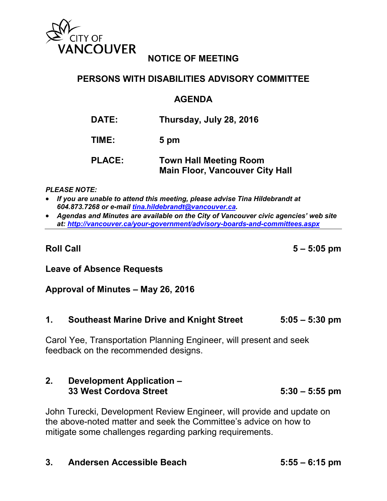

# **NOTICE OF MEETING**

# **PERSONS WITH DISABILITIES ADVISORY COMMITTEE**

# **AGENDA**

| <b>DATE:</b> | Thursday, July 28, 2016 |
|--------------|-------------------------|
|--------------|-------------------------|

**TIME: 5 pm**

# **PLACE: Town Hall Meeting Room Main Floor, Vancouver City Hall**

*PLEASE NOTE:*

- *If you are unable to attend this meeting, please advise Tina Hildebrandt at 604.873.7268 or e-mail [tina.hildebrandt@vancouver.ca.](mailto:tina.hildebrandt@vancouver.ca)*
- *Agendas and Minutes are available on the City of Vancouver civic agencies' web site at:<http://vancouver.ca/your-government/advisory-boards-and-committees.aspx>*

**Roll Call 5 – 5:05 pm**

# **Leave of Absence Requests**

# **Approval of Minutes – May 26, 2016**

**1. Southeast Marine Drive and Knight Street 5:05 – 5:30 pm**

Carol Yee, Transportation Planning Engineer, will present and seek feedback on the recommended designs.

# **2. Development Application – 33 West Cordova Street 5:30 – 5:55 pm**

John Turecki, Development Review Engineer, will provide and update on the above-noted matter and seek the Committee's advice on how to mitigate some challenges regarding parking requirements.

# **3. Andersen Accessible Beach 5:55 – 6:15 pm**